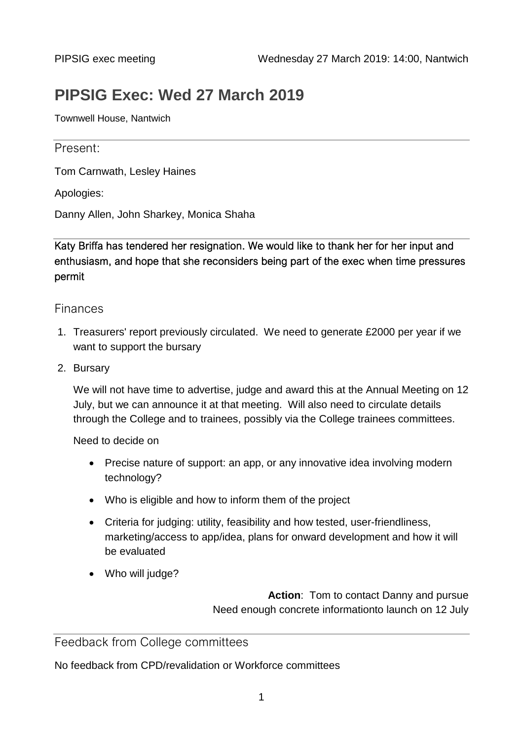# **PIPSIG Exec: Wed 27 March 2019**

Townwell House, Nantwich

# Present:

Tom Carnwath, Lesley Haines

Apologies:

Danny Allen, John Sharkey, Monica Shaha

Katy Briffa has tendered her resignation. We would like to thank her for her input and enthusiasm, and hope that she reconsiders being part of the exec when time pressures permit

# Finances

- 1. Treasurers' report previously circulated. We need to generate £2000 per year if we want to support the bursary
- 2. Bursary

We will not have time to advertise, judge and award this at the Annual Meeting on 12 July, but we can announce it at that meeting. Will also need to circulate details through the College and to trainees, possibly via the College trainees committees.

Need to decide on

- Precise nature of support: an app, or any innovative idea involving modern technology?
- Who is eligible and how to inform them of the project
- Criteria for judging: utility, feasibility and how tested, user-friendliness, marketing/access to app/idea, plans for onward development and how it will be evaluated
- Who will judge?

**Action**: Tom to contact Danny and pursue Need enough concrete informationto launch on 12 July

# Feedback from College committees

No feedback from CPD/revalidation or Workforce committees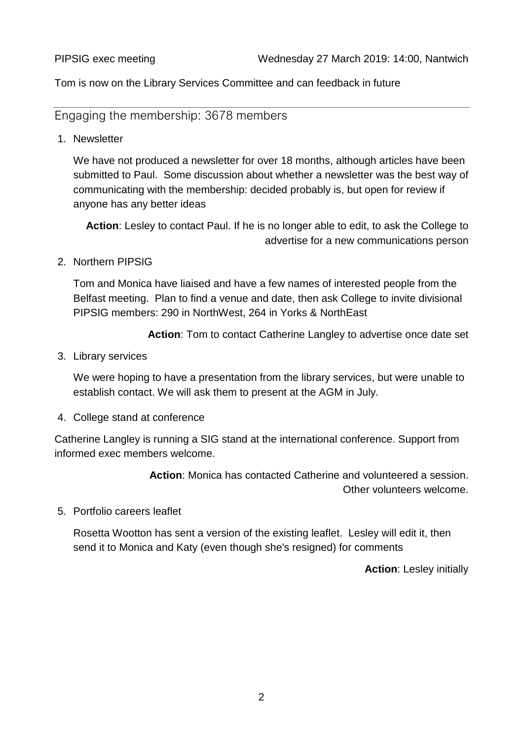Tom is now on the Library Services Committee and can feedback in future

Engaging the membership: 3678 members

1. Newsletter

We have not produced a newsletter for over 18 months, although articles have been submitted to Paul. Some discussion about whether a newsletter was the best way of communicating with the membership: decided probably is, but open for review if anyone has any better ideas

**Action**: Lesley to contact Paul. If he is no longer able to edit, to ask the College to advertise for a new communications person

2. Northern PIPSIG

Tom and Monica have liaised and have a few names of interested people from the Belfast meeting. Plan to find a venue and date, then ask College to invite divisional PIPSIG members: 290 in NorthWest, 264 in Yorks & NorthEast

**Action**: Tom to contact Catherine Langley to advertise once date set

3. Library services

We were hoping to have a presentation from the library services, but were unable to establish contact. We will ask them to present at the AGM in July.

4. College stand at conference

Catherine Langley is running a SIG stand at the international conference. Support from informed exec members welcome.

> **Action**: Monica has contacted Catherine and volunteered a session. Other volunteers welcome.

5. Portfolio careers leaflet

Rosetta Wootton has sent a version of the existing leaflet. Lesley will edit it, then send it to Monica and Katy (even though she's resigned) for comments

**Action**: Lesley initially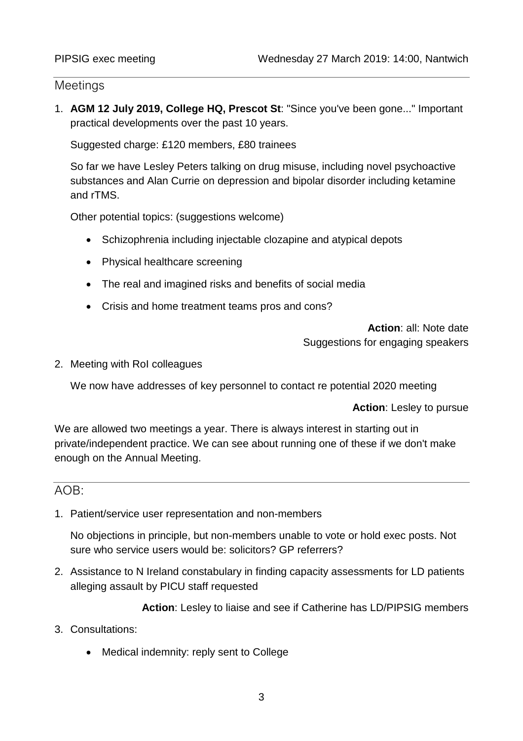# **Meetings**

1. **AGM 12 July 2019, College HQ, Prescot St**: "Since you've been gone..." Important practical developments over the past 10 years.

Suggested charge: £120 members, £80 trainees

So far we have Lesley Peters talking on drug misuse, including novel psychoactive substances and Alan Currie on depression and bipolar disorder including ketamine and rTMS.

Other potential topics: (suggestions welcome)

- Schizophrenia including injectable clozapine and atypical depots
- Physical healthcare screening
- The real and imagined risks and benefits of social media
- Crisis and home treatment teams pros and cons?

**Action**: all: Note date Suggestions for engaging speakers

2. Meeting with RoI colleagues

We now have addresses of key personnel to contact re potential 2020 meeting

**Action**: Lesley to pursue

We are allowed two meetings a year. There is always interest in starting out in private/independent practice. We can see about running one of these if we don't make enough on the Annual Meeting.

# AOB:

1. Patient/service user representation and non-members

No objections in principle, but non-members unable to vote or hold exec posts. Not sure who service users would be: solicitors? GP referrers?

2. Assistance to N Ireland constabulary in finding capacity assessments for LD patients alleging assault by PICU staff requested

**Action**: Lesley to liaise and see if Catherine has LD/PIPSIG members

- 3. Consultations:
	- Medical indemnity: reply sent to College